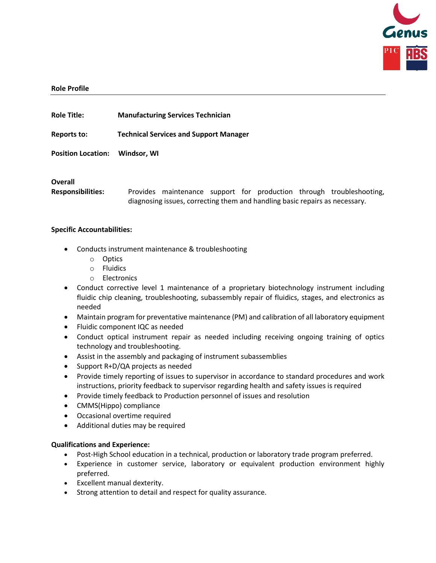

### **Role Profile**

**Role Title: Manufacturing Services Technician**

**Reports to: Technical Services and Support Manager**

**Position Location: Windsor, WI**

#### **Overall**

**Responsibilities:** Provides maintenance support for production through troubleshooting, diagnosing issues, correcting them and handling basic repairs as necessary.

### **Specific Accountabilities:**

- Conducts instrument maintenance & troubleshooting
	- o Optics
	- o Fluidics
	- o Electronics
- Conduct corrective level 1 maintenance of a proprietary biotechnology instrument including fluidic chip cleaning, troubleshooting, subassembly repair of fluidics, stages, and electronics as needed
- Maintain program for preventative maintenance (PM) and calibration of all laboratory equipment
- Fluidic component IQC as needed
- Conduct optical instrument repair as needed including receiving ongoing training of optics technology and troubleshooting.
- Assist in the assembly and packaging of instrument subassemblies
- Support R+D/QA projects as needed
- Provide timely reporting of issues to supervisor in accordance to standard procedures and work instructions, priority feedback to supervisor regarding health and safety issues is required
- Provide timely feedback to Production personnel of issues and resolution
- CMMS(Hippo) compliance
- Occasional overtime required
- Additional duties may be required

# **Qualifications and Experience:**

- Post-High School education in a technical, production or laboratory trade program preferred.
- Experience in customer service, laboratory or equivalent production environment highly preferred.
- Excellent manual dexterity.
- Strong attention to detail and respect for quality assurance.